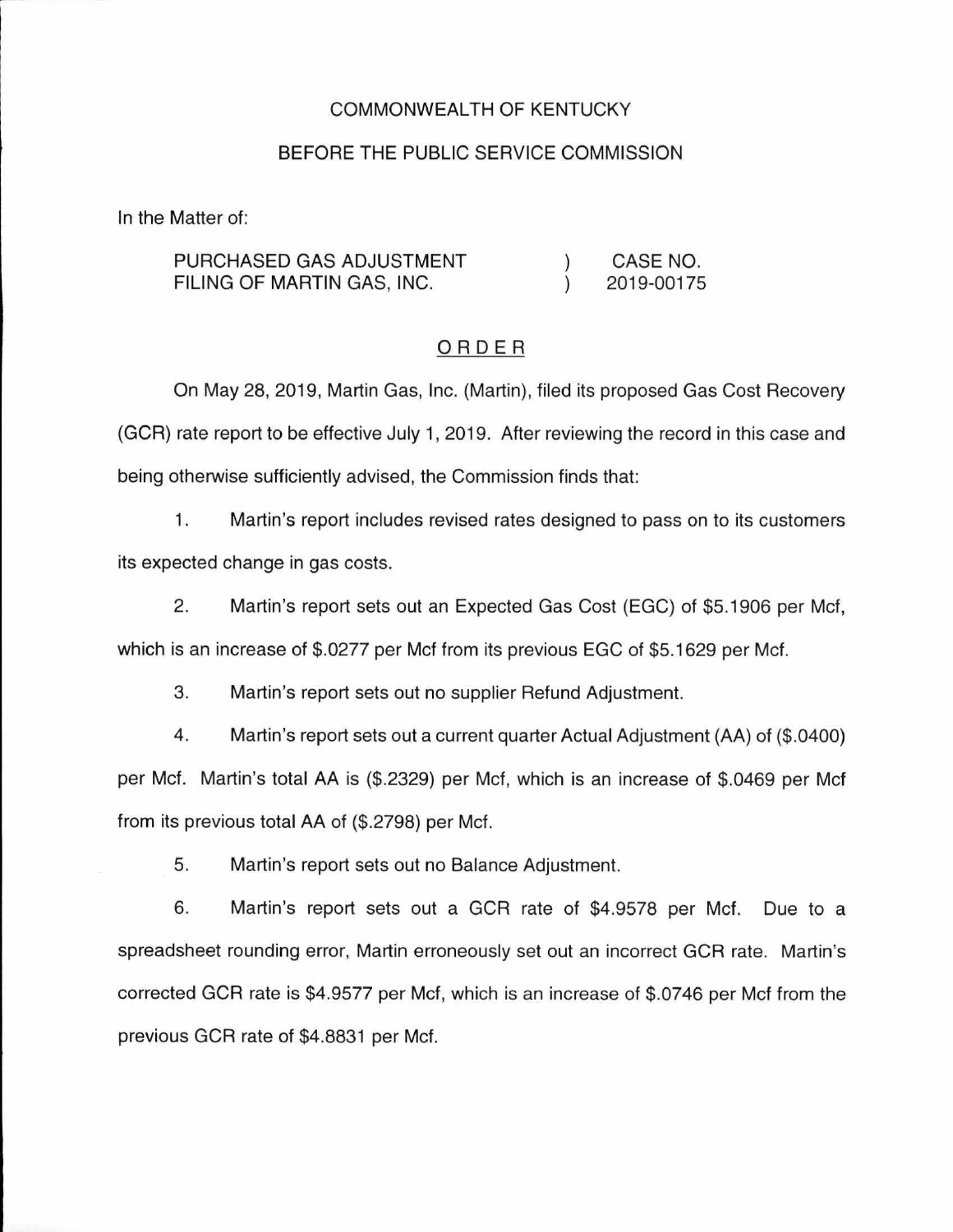#### COMMONWEALTH OF KENTUCKY

### BEFORE THE PUBLIC SERVICE COMMISSION

In the Matter of:

PURCHASED GAS ADJUSTMENT FILING OF MARTIN GAS, INC.  $\lambda$  $\lambda$ CASE NO. 2019-00175

### ORDER

On May 28, 2019, Martin Gas, Inc. (Martin), filed its proposed Gas Cost Recovery (GCR) rate report to be effective July 1, 2019. After reviewing the record in this case and being otherwise sufficiently advised, the Commission finds that:

1. Martin's report includes revised rates designed to pass on to its customers its expected change in gas costs.

2. Martin's report sets out an Expected Gas Cost (EGC) of \$5.1906 per Mcf, which is an increase of \$.0277 per Mcf from its previous EGC of \$5.1629 per Mcf.

3. Martin's report sets out no supplier Refund Adjustment.

4. Martin's report sets out a current quarter Actual Adjustment (AA) of (\$.0400) per Met. Martin's total AA is (\$.2329) per Met, which is an increase of \$.0469 per Mcf from its previous total AA of (\$.2798) per Met.

5. Martin's report sets out no Balance Adjustment.

6. Martin's report sets out a GCR rate of \$4.9578 per Met. Due to a spreadsheet rounding error, Martin erroneously set out an incorrect GCR rate. Martin's corrected GCR rate is \$4.9577 per Met, which is an increase of \$.0746 per Met from the previous GCR rate of \$4.8831 per Met.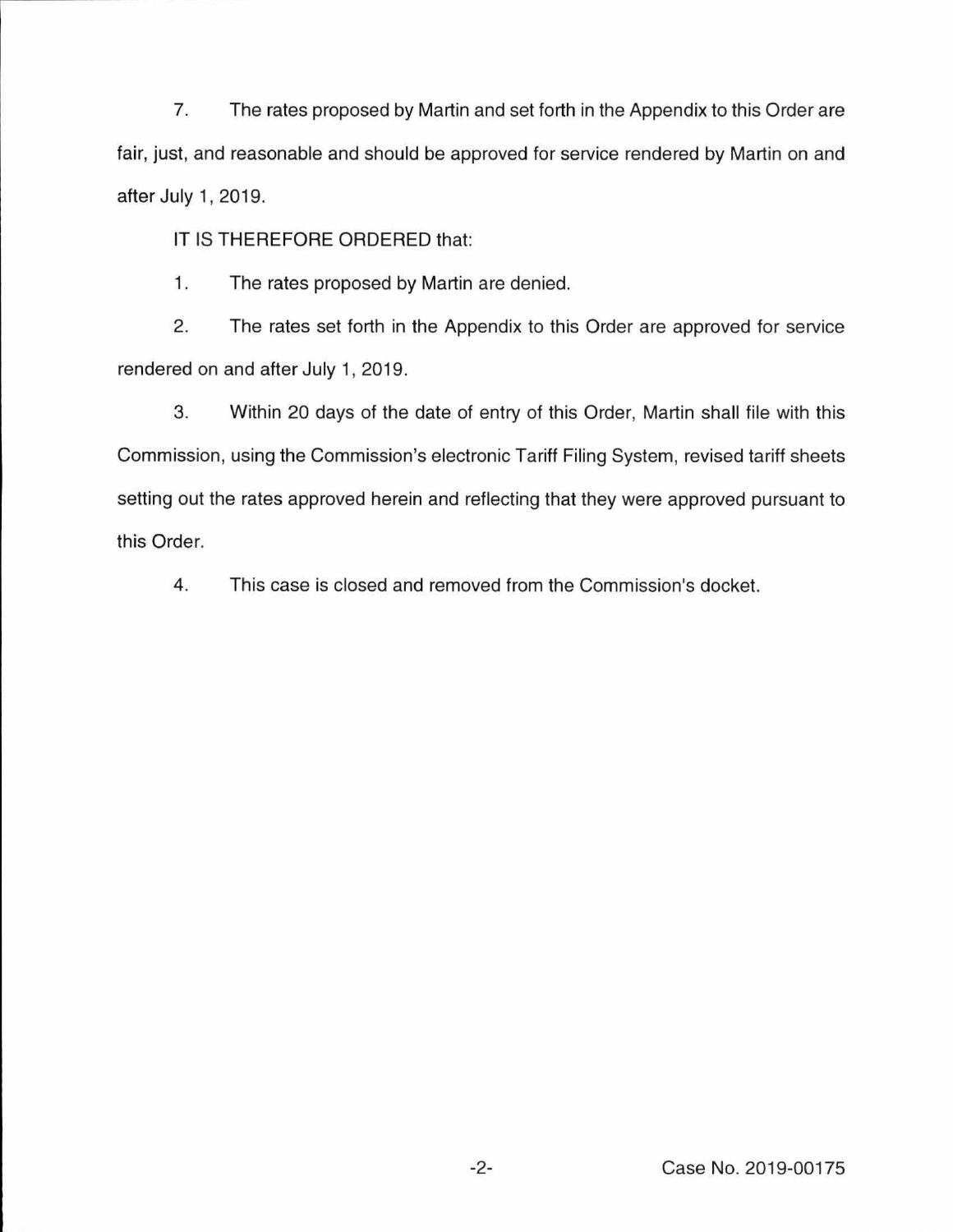7. The rates proposed by Martin and set forth in the Appendix to this Order are fair, just, and reasonable and should be approved for service rendered by Martin on and after July 1, 2019.

IT IS THEREFORE ORDERED that:

1. The rates proposed by Martin are denied.

2. The rates set forth in the Appendix to this Order are approved for service rendered on and after July 1, 2019.

3. Within 20 days of the date of entry of this Order, Martin shall file with this Commission, using the Commission's electronic Tariff Filing System, revised tariff sheets setting out the rates approved herein and reflecting that they were approved pursuant to this Order.

4. This case is closed and removed from the Commission's docket.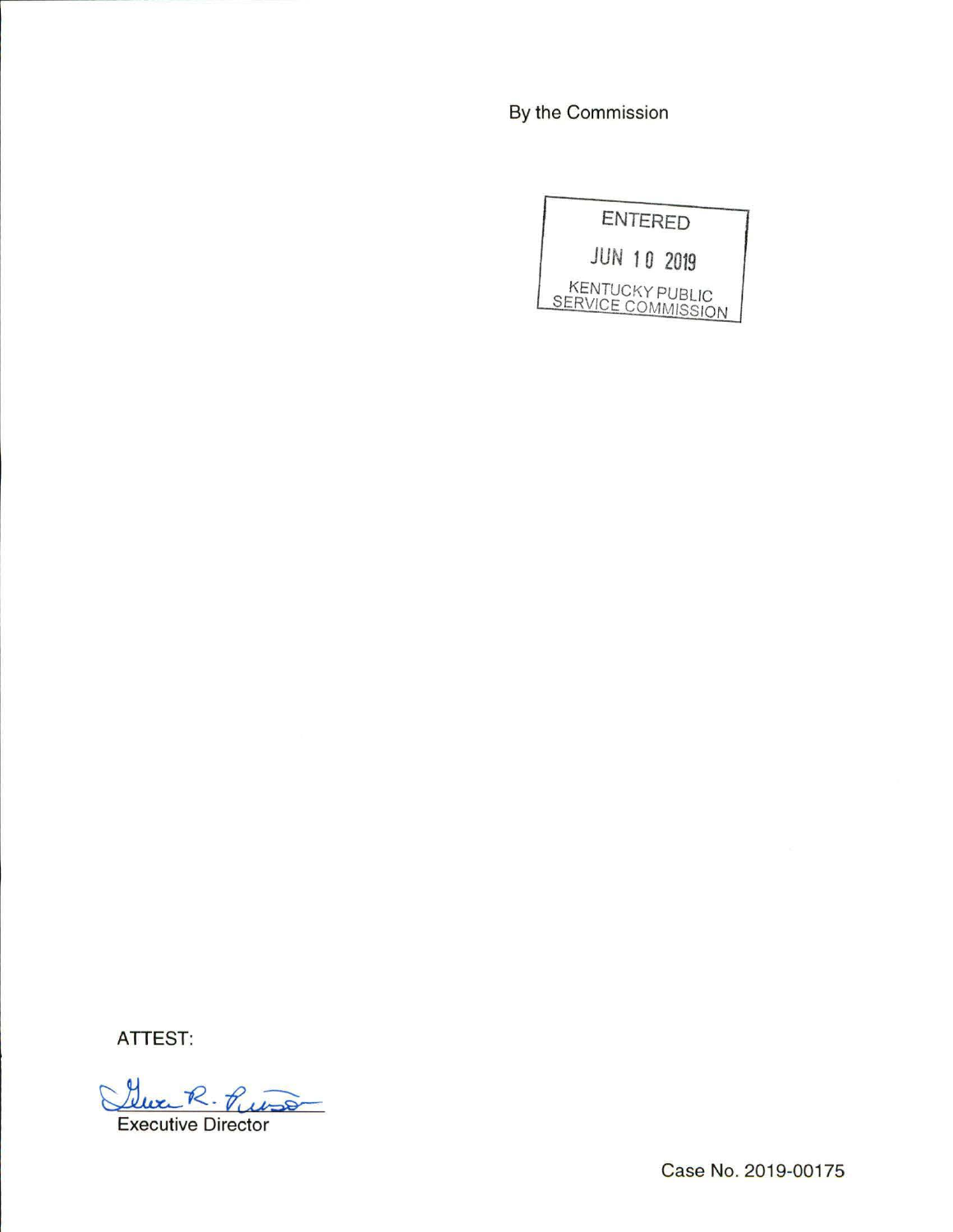By the Commission

|                                              | <b>ENTERED</b>     |
|----------------------------------------------|--------------------|
|                                              | <b>JUN 10 2019</b> |
| <b>KENTUCKY PUBLIC</b><br>SERVICE COMMISSION |                    |

ATTEST:

Clue R. Puis **Executive Director** 

Case No. 2019-00175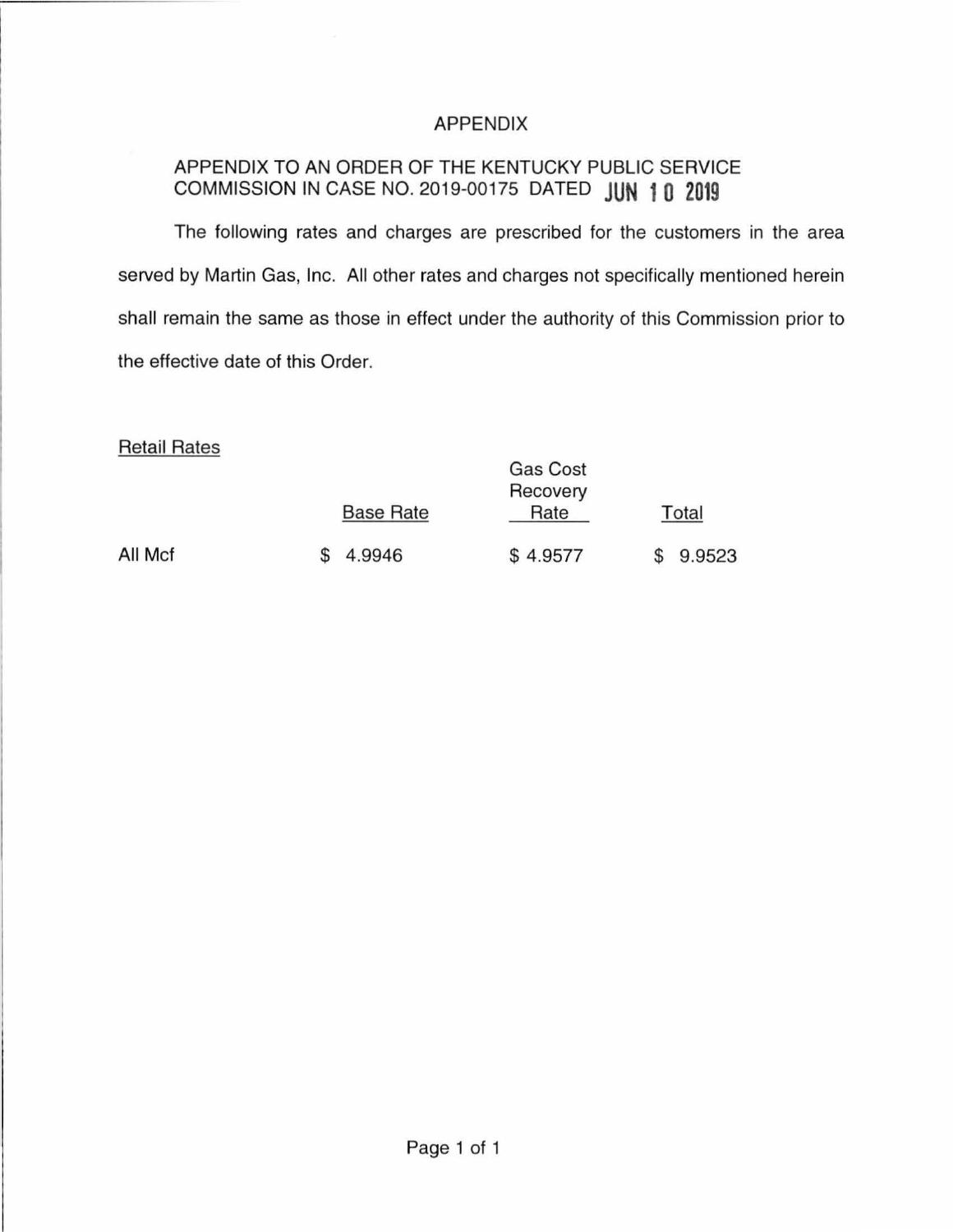## APPENDIX

# APPENDIX TO AN ORDER OF THE KENTUCKY PUBLIC SERVICE COMMISSION IN CASE NO. 2019-00175 DATED **JUN 1 0 2019**

The following rates and charges are prescribed for the customers in the area served by Martin Gas, Inc. All other rates and charges not specifically mentioned herein shall remain the same as those in effect under the authority of this Commission prior to the effective date of this Order.

## Retail Rates

|         |                  | Gas Cost<br>Recovery |        |
|---------|------------------|----------------------|--------|
|         | <b>Base Rate</b> | Rate                 | Total  |
| All Mcf | 4.9946           | \$4.9577             | 9.9523 |